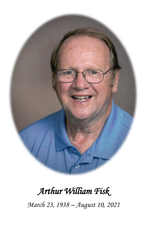

# *Arthur William Fisk*

*March 23, 1938 – August 10, 2021*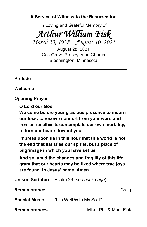**A Service of Witness to the Resurrection**

In Loving and Grateful Memory of

*Arthur William Fisk* 

*March 23, 1938 – August 10, 2021*

August 28, 2021 Oak Grove Presbyterian Church Bloomington, Minnesota

#### **Prelude**

**Welcome**

**Opening Prayer**

**O Lord our God,**

**We come before your gracious presence to mourn our loss, to receive comfort from your word and from one another, to contemplate our own mortality, to turn our hearts toward you.**

**Impress upon us in this hour that this world is not the end that satisfies our spirits, but a place of pilgrimage in which you have set us.**

**And so, amid the changes and fragility of this life, grant that our hearts may be fixed where true joys are found. In Jesus' name. Amen.**

**Unison Scripture** Psalm 23 (*see back page*)

**Remembrance** Craig

**Special Music** "It is Well With My Soul"

**Remembrances** Mike, Phil & Mark Fisk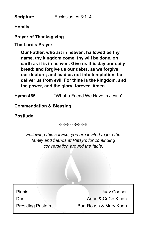**Scripture** Ecclesiastes 3:1–4

**Homily**

#### **Prayer of Thanksgiving**

### **The Lord's Prayer**

**Our Father, who art in heaven, hallowed be thy name, thy kingdom come, thy will be done, on earth as it is in heaven. Give us this day our daily bread; and forgive us our debts, as we forgive our debtors; and lead us not into temptation, but deliver us from evil. For thine is the kingdom, and the power, and the glory, forever. Amen.**

**Hymn 465** "What a Friend We Have in Jesus"

**Commendation & Blessing**

**Postlude**

╬╬╬╬╬╬╬

*Following this service, you are invited to join the family and friends at Patsy's for continuing conversation around the table.*

| Presiding Pastors  Bart Roush & Mary Koon |  |
|-------------------------------------------|--|